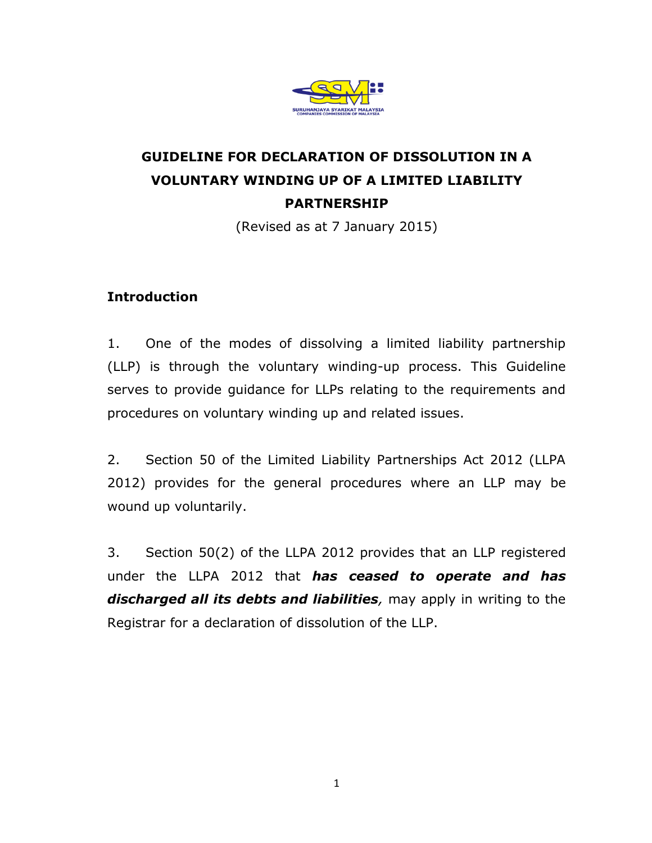

# **GUIDELINE FOR DECLARATION OF DISSOLUTION IN A VOLUNTARY WINDING UP OF A LIMITED LIABILITY PARTNERSHIP**

(Revised as at 7 January 2015)

### **Introduction**

1. One of the modes of dissolving a limited liability partnership (LLP) is through the voluntary winding-up process. This Guideline serves to provide guidance for LLPs relating to the requirements and procedures on voluntary winding up and related issues.

2. Section 50 of the Limited Liability Partnerships Act 2012 (LLPA 2012) provides for the general procedures where an LLP may be wound up voluntarily.

3. Section 50(2) of the LLPA 2012 provides that an LLP registered under the LLPA 2012 that *has ceased to operate and has discharged all its debts and liabilities,* may apply in writing to the Registrar for a declaration of dissolution of the LLP.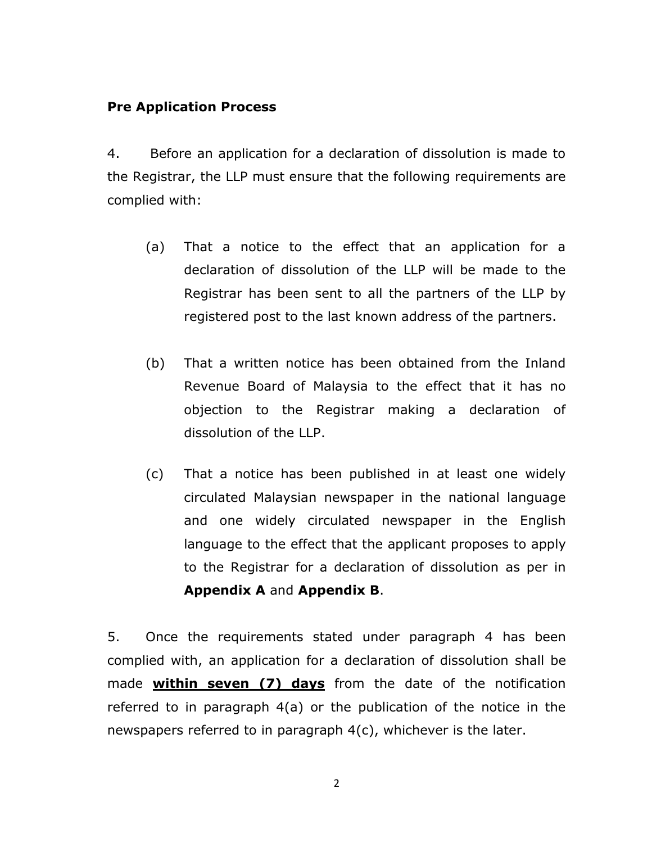### **Pre Application Process**

4. Before an application for a declaration of dissolution is made to the Registrar, the LLP must ensure that the following requirements are complied with:

- (a) That a notice to the effect that an application for a declaration of dissolution of the LLP will be made to the Registrar has been sent to all the partners of the LLP by registered post to the last known address of the partners.
- (b) That a written notice has been obtained from the Inland Revenue Board of Malaysia to the effect that it has no objection to the Registrar making a declaration of dissolution of the LLP.
- (c) That a notice has been published in at least one widely circulated Malaysian newspaper in the national language and one widely circulated newspaper in the English language to the effect that the applicant proposes to apply to the Registrar for a declaration of dissolution as per in **Appendix A** and **Appendix B**.

5. Once the requirements stated under paragraph 4 has been complied with, an application for a declaration of dissolution shall be made **within seven (7) days** from the date of the notification referred to in paragraph 4(a) or the publication of the notice in the newspapers referred to in paragraph 4(c), whichever is the later.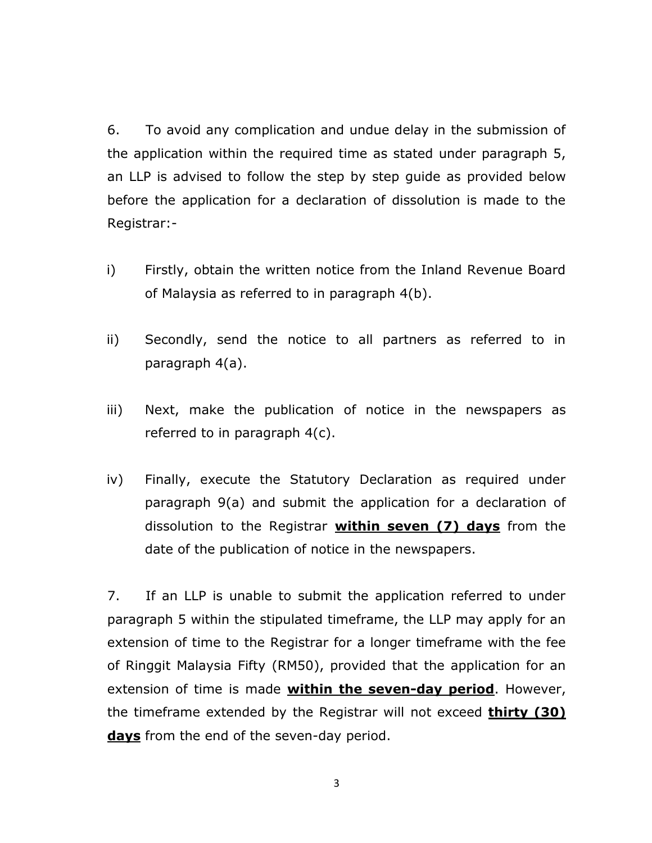6. To avoid any complication and undue delay in the submission of the application within the required time as stated under paragraph 5, an LLP is advised to follow the step by step guide as provided below before the application for a declaration of dissolution is made to the Registrar:-

- i) Firstly, obtain the written notice from the Inland Revenue Board of Malaysia as referred to in paragraph 4(b).
- ii) Secondly, send the notice to all partners as referred to in paragraph 4(a).
- iii) Next, make the publication of notice in the newspapers as referred to in paragraph 4(c).
- iv) Finally, execute the Statutory Declaration as required under paragraph 9(a) and submit the application for a declaration of dissolution to the Registrar **within seven (7) days** from the date of the publication of notice in the newspapers.

7. If an LLP is unable to submit the application referred to under paragraph 5 within the stipulated timeframe, the LLP may apply for an extension of time to the Registrar for a longer timeframe with the fee of Ringgit Malaysia Fifty (RM50), provided that the application for an extension of time is made **within the seven-day period**. However, the timeframe extended by the Registrar will not exceed **thirty (30) days** from the end of the seven-day period.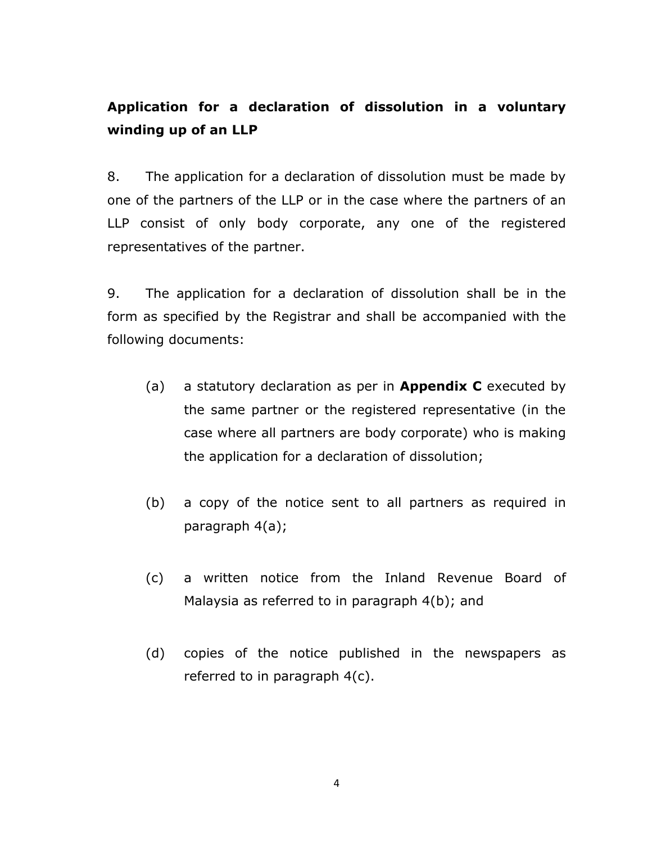## **Application for a declaration of dissolution in a voluntary winding up of an LLP**

8. The application for a declaration of dissolution must be made by one of the partners of the LLP or in the case where the partners of an LLP consist of only body corporate, any one of the registered representatives of the partner.

9. The application for a declaration of dissolution shall be in the form as specified by the Registrar and shall be accompanied with the following documents:

- (a) a statutory declaration as per in **Appendix C** executed by the same partner or the registered representative (in the case where all partners are body corporate) who is making the application for a declaration of dissolution;
- (b) a copy of the notice sent to all partners as required in paragraph 4(a);
- (c) a written notice from the Inland Revenue Board of Malaysia as referred to in paragraph 4(b); and
- (d) copies of the notice published in the newspapers as referred to in paragraph 4(c).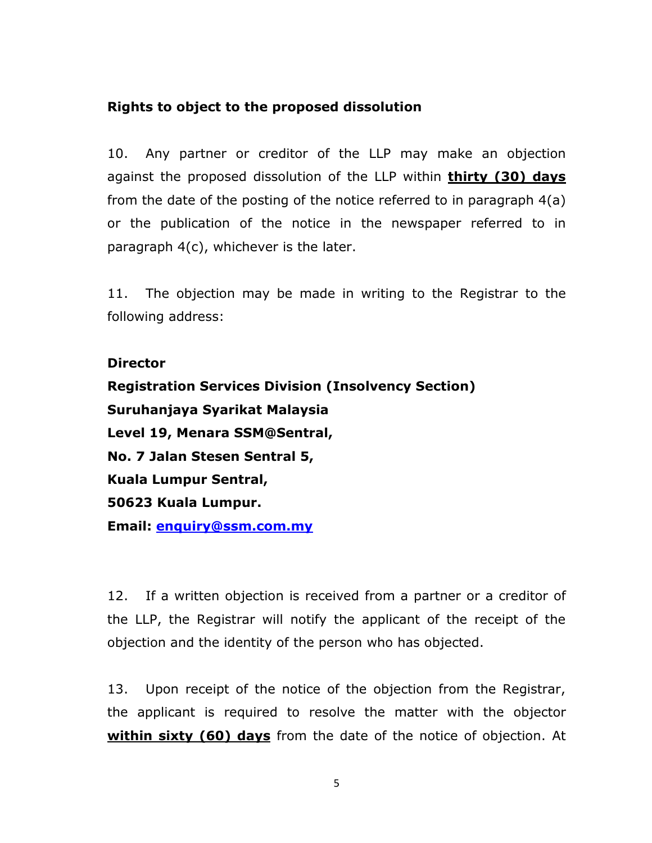### **Rights to object to the proposed dissolution**

10. Any partner or creditor of the LLP may make an objection against the proposed dissolution of the LLP within **thirty (30) days** from the date of the posting of the notice referred to in paragraph 4(a) or the publication of the notice in the newspaper referred to in paragraph 4(c), whichever is the later.

11. The objection may be made in writing to the Registrar to the following address:

#### **Director**

**Registration Services Division (Insolvency Section) Suruhanjaya Syarikat Malaysia Level 19, Menara SSM@Sentral, No. 7 Jalan Stesen Sentral 5, Kuala Lumpur Sentral, 50623 Kuala Lumpur. Email: [enquiry@ssm.com.my](mailto:enquiry@ssm.com.my)**

12. If a written objection is received from a partner or a creditor of the LLP, the Registrar will notify the applicant of the receipt of the objection and the identity of the person who has objected.

13. Upon receipt of the notice of the objection from the Registrar, the applicant is required to resolve the matter with the objector **within sixty (60) days** from the date of the notice of objection. At

5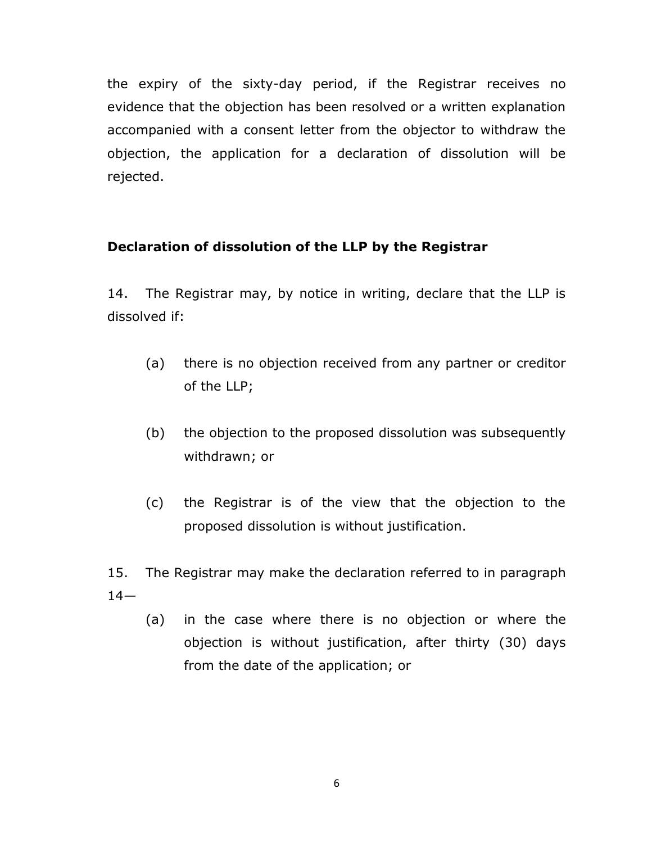the expiry of the sixty-day period, if the Registrar receives no evidence that the objection has been resolved or a written explanation accompanied with a consent letter from the objector to withdraw the objection, the application for a declaration of dissolution will be rejected.

### **Declaration of dissolution of the LLP by the Registrar**

14. The Registrar may, by notice in writing, declare that the LLP is dissolved if:

- (a) there is no objection received from any partner or creditor of the LLP;
- (b) the objection to the proposed dissolution was subsequently withdrawn; or
- (c) the Registrar is of the view that the objection to the proposed dissolution is without justification.

15. The Registrar may make the declaration referred to in paragraph  $14-$ 

(a) in the case where there is no objection or where the objection is without justification, after thirty (30) days from the date of the application; or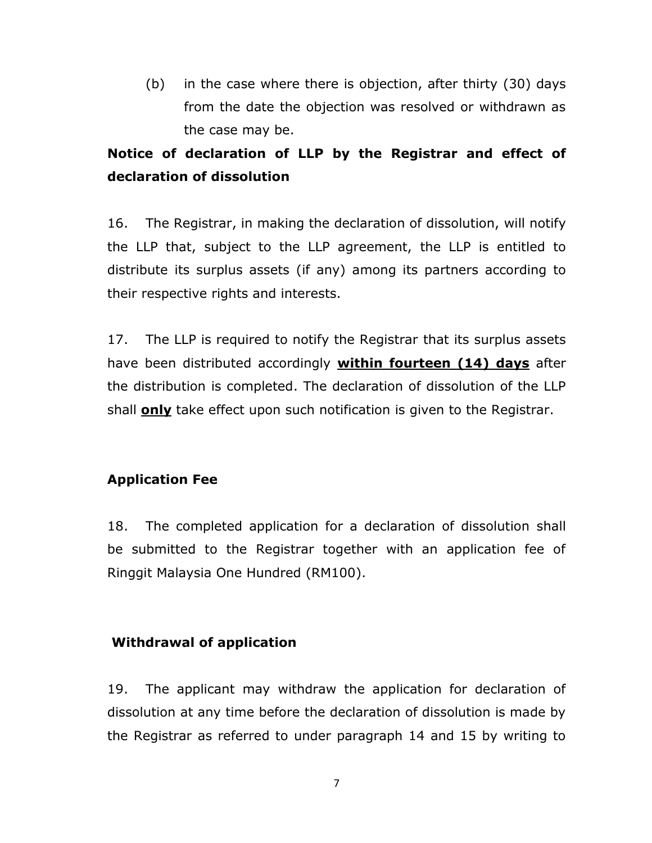(b) in the case where there is objection, after thirty (30) days from the date the objection was resolved or withdrawn as the case may be.

## **Notice of declaration of LLP by the Registrar and effect of declaration of dissolution**

16. The Registrar, in making the declaration of dissolution, will notify the LLP that, subject to the LLP agreement, the LLP is entitled to distribute its surplus assets (if any) among its partners according to their respective rights and interests.

17. The LLP is required to notify the Registrar that its surplus assets have been distributed accordingly **within fourteen (14) days** after the distribution is completed. The declaration of dissolution of the LLP shall **only** take effect upon such notification is given to the Registrar.

### **Application Fee**

18. The completed application for a declaration of dissolution shall be submitted to the Registrar together with an application fee of Ringgit Malaysia One Hundred (RM100).

### **Withdrawal of application**

19. The applicant may withdraw the application for declaration of dissolution at any time before the declaration of dissolution is made by the Registrar as referred to under paragraph 14 and 15 by writing to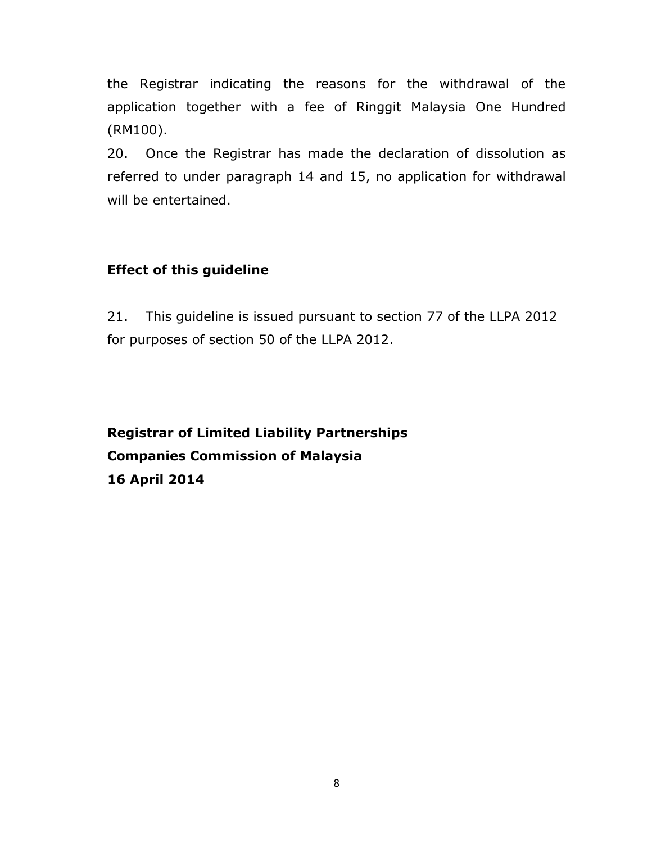the Registrar indicating the reasons for the withdrawal of the application together with a fee of Ringgit Malaysia One Hundred (RM100).

20. Once the Registrar has made the declaration of dissolution as referred to under paragraph 14 and 15, no application for withdrawal will be entertained.

### **Effect of this guideline**

21. This guideline is issued pursuant to section 77 of the LLPA 2012 for purposes of section 50 of the LLPA 2012.

**Registrar of Limited Liability Partnerships Companies Commission of Malaysia 16 April 2014**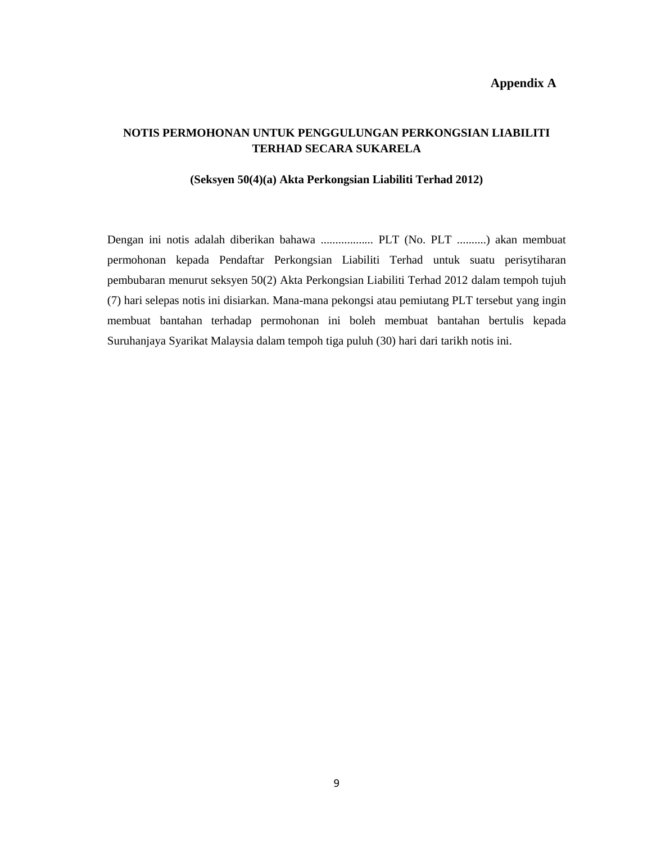### **Appendix A**

### **NOTIS PERMOHONAN UNTUK PENGGULUNGAN PERKONGSIAN LIABILITI TERHAD SECARA SUKARELA**

#### **(Seksyen 50(4)(a) Akta Perkongsian Liabiliti Terhad 2012)**

Dengan ini notis adalah diberikan bahawa .................. PLT (No. PLT ..........) akan membuat permohonan kepada Pendaftar Perkongsian Liabiliti Terhad untuk suatu perisytiharan pembubaran menurut seksyen 50(2) Akta Perkongsian Liabiliti Terhad 2012 dalam tempoh tujuh (7) hari selepas notis ini disiarkan. Mana-mana pekongsi atau pemiutang PLT tersebut yang ingin membuat bantahan terhadap permohonan ini boleh membuat bantahan bertulis kepada Suruhanjaya Syarikat Malaysia dalam tempoh tiga puluh (30) hari dari tarikh notis ini.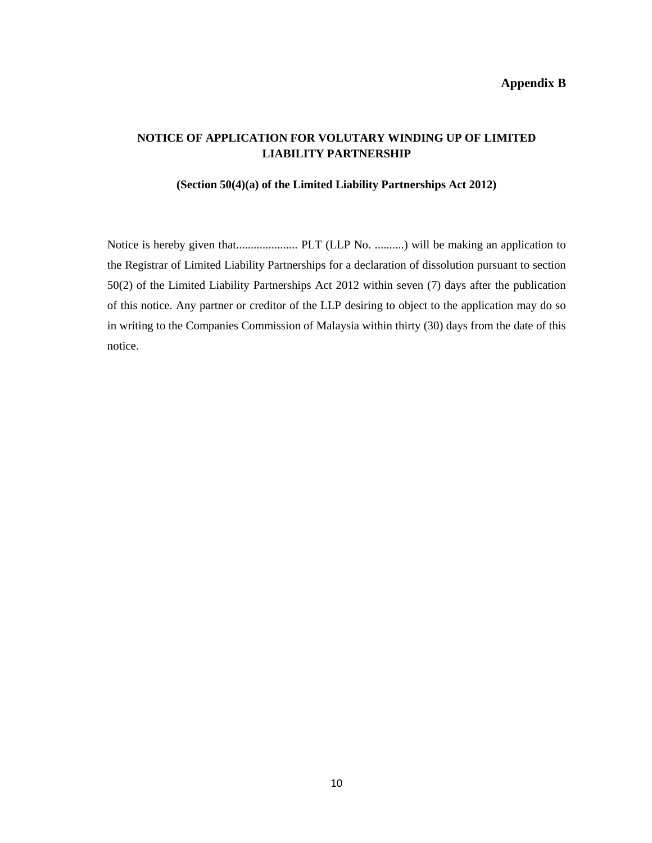### **Appendix B**

### **NOTICE OF APPLICATION FOR VOLUTARY WINDING UP OF LIMITED LIABILITY PARTNERSHIP**

#### **(Section 50(4)(a) of the Limited Liability Partnerships Act 2012)**

Notice is hereby given that..................... PLT (LLP No. ..........) will be making an application to the Registrar of Limited Liability Partnerships for a declaration of dissolution pursuant to section 50(2) of the Limited Liability Partnerships Act 2012 within seven (7) days after the publication of this notice. Any partner or creditor of the LLP desiring to object to the application may do so in writing to the Companies Commission of Malaysia within thirty (30) days from the date of this notice.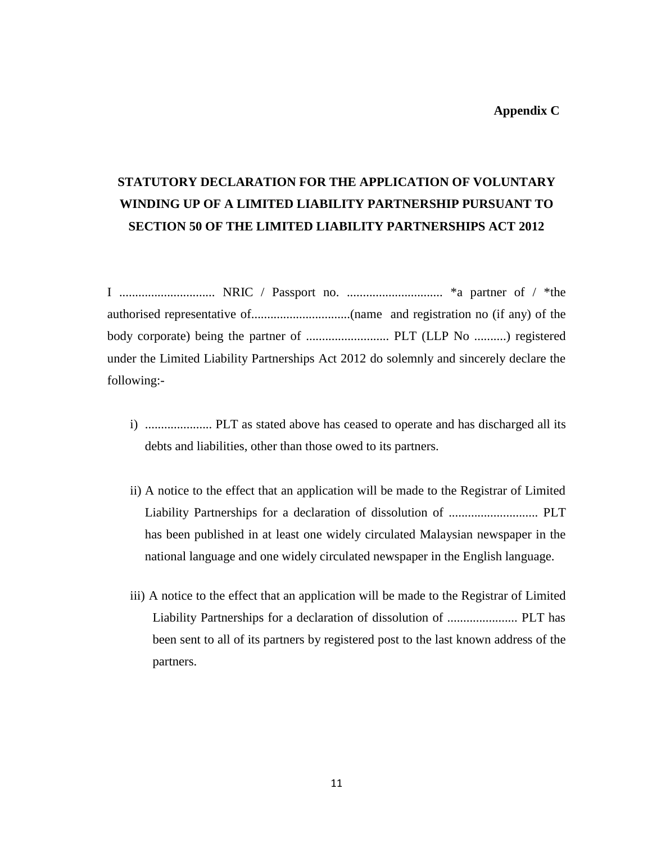#### **Appendix C**

## **STATUTORY DECLARATION FOR THE APPLICATION OF VOLUNTARY WINDING UP OF A LIMITED LIABILITY PARTNERSHIP PURSUANT TO SECTION 50 OF THE LIMITED LIABILITY PARTNERSHIPS ACT 2012**

I .............................. NRIC / Passport no. .............................. \*a partner of / \*the authorised representative of...............................(name and registration no (if any) of the body corporate) being the partner of .......................... PLT (LLP No ..........) registered under the Limited Liability Partnerships Act 2012 do solemnly and sincerely declare the following:-

- i) ..................... PLT as stated above has ceased to operate and has discharged all its debts and liabilities, other than those owed to its partners.
- ii) A notice to the effect that an application will be made to the Registrar of Limited Liability Partnerships for a declaration of dissolution of ............................ PLT has been published in at least one widely circulated Malaysian newspaper in the national language and one widely circulated newspaper in the English language.
- iii) A notice to the effect that an application will be made to the Registrar of Limited Liability Partnerships for a declaration of dissolution of ...................... PLT has been sent to all of its partners by registered post to the last known address of the partners.